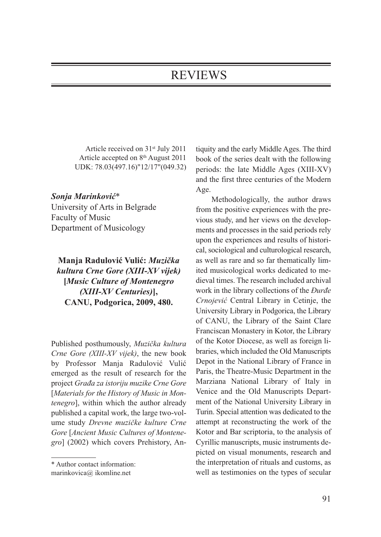## REVIEWS

Article received on 31st July 2011 Article accepted on 8th August 2011 UDK: 78.03(497.16)"12/17"(049.32)

## *Sonja Marinković*\*

University of Arts in Belgrade Faculty of Music Department of Musicology

## **Manja Radulović Vulić:** *Muzička kultura Crne Gore (XIII-XV vijek)* **[***Music Culture of Montenegro (XIII-XV Centuries)***], CANU, Podgorica, 2009, 480.**

Published posthumously, *Muzička kultura Crne Gore (XIII-XV vijek)*, the new book by Professor Manja Radulović Vulić emerged as the result of research for the project *Građa za istoriju muzike Crne Gore* [*Materials for the History of Music in Montenegro*], within which the author already published a capital work, the large two-volume study *Drevne muzičke kulture Crne Gore* [*Ancient Music Cultures of Montenegro*] (2002) which covers Prehistory, An-

tiquity and the early Middle Ages. The third book of the series dealt with the following periods: the late Middle Ages (XIII-XV) and the first three centuries of the Modern Age.

Methodologically, the author draws from the positive experiences with the previous study, and her views on the developments and processes in the said periods rely upon the experiences and results of historical, sociological and culturological research, as well as rare and so far thematically limited musicological works dedicated to medieval times. The research included archival work in the library collections of the *Đurđe Crnojević* Central Library in Cetinje, the University Library in Podgorica, the Library of CANU, the Library of the Saint Clare Franciscan Monastery in Kotor, the Library of the Kotor Diocese, as well as foreign libraries, which included the Old Manuscripts Depot in the National Library of France in Paris, the Theatre-Music Department in the Marziana National Library of Italy in Venice and the Old Manuscripts Department of the National University Library in Turin. Special attention was dedicated to the attempt at reconstructing the work of the Kotor and Bar scriptoria, to the analysis of Cyrillic manuscripts, music instruments depicted on visual monuments, research and the interpretation of rituals and customs, as well as testimonies on the types of secular

<sup>\*</sup> Author contact information:

marinkovica@ ikomline.net